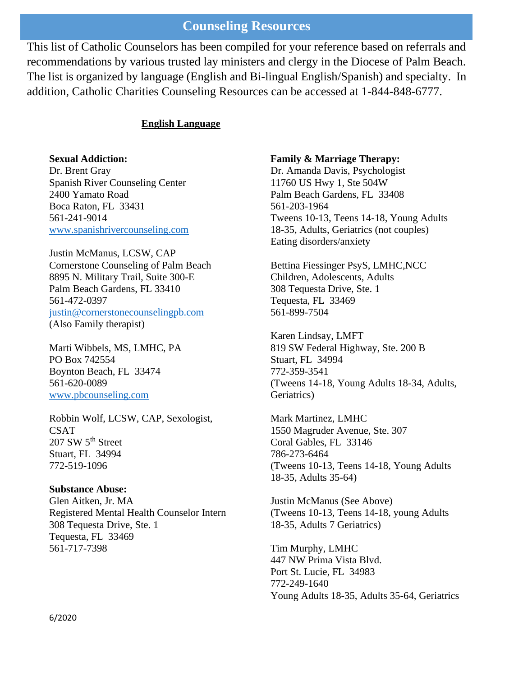## **Counseling Resources**

This list of Catholic Counselors has been compiled for your reference based on referrals and recommendations by various trusted lay ministers and clergy in the Diocese of Palm Beach. The list is organized by language (English and Bi-lingual English/Spanish) and specialty. In addition, Catholic Charities Counseling Resources can be accessed at 1-844-848-6777.

## **English Language**

### **Sexual Addiction:**

Dr. Brent Gray Spanish River Counseling Center 2400 Yamato Road Boca Raton, FL 33431 561-241-9014 [www.spanishrivercounseling.com](http://www.spanishrivercounseling.com/)

Justin McManus, LCSW, CAP Cornerstone Counseling of Palm Beach 8895 N. Military Trail, Suite 300-E Palm Beach Gardens, FL 33410 561-472-0397 [justin@cornerstonecounselingpb.com](mailto:justin@cornerstonecounselingpb.com) (Also Family therapist)

Marti Wibbels, MS, LMHC, PA PO Box 742554 Boynton Beach, FL 33474 561-620-0089 [www.pbcounseling.com](http://www.pbcounseling.com/)

Robbin Wolf, LCSW, CAP, Sexologist, CSAT 207 SW 5<sup>th</sup> Street Stuart, FL 34994 772-519-1096

#### **Substance Abuse:**

Glen Aitken, Jr. MA Registered Mental Health Counselor Intern 308 Tequesta Drive, Ste. 1 Tequesta, FL 33469 561-717-7398

#### **Family & Marriage Therapy:**

Dr. Amanda Davis, Psychologist 11760 US Hwy 1, Ste 504W Palm Beach Gardens, FL 33408 561-203-1964 Tweens 10-13, Teens 14-18, Young Adults 18-35, Adults, Geriatrics (not couples) Eating disorders/anxiety

Bettina Fiessinger PsyS, LMHC,NCC Children, Adolescents, Adults 308 Tequesta Drive, Ste. 1 Tequesta, FL 33469 561-899-7504

Karen Lindsay, LMFT 819 SW Federal Highway, Ste. 200 B Stuart, FL 34994 772-359-3541 (Tweens 14-18, Young Adults 18-34, Adults, Geriatrics)

Mark Martinez, LMHC 1550 Magruder Avenue, Ste. 307 Coral Gables, FL 33146 786-273-6464 (Tweens 10-13, Teens 14-18, Young Adults 18-35, Adults 35-64)

Justin McManus (See Above) (Tweens 10-13, Teens 14-18, young Adults 18-35, Adults 7 Geriatrics)

Tim Murphy, LMHC 447 NW Prima Vista Blvd. Port St. Lucie, FL 34983 772-249-1640 Young Adults 18-35, Adults 35-64, Geriatrics